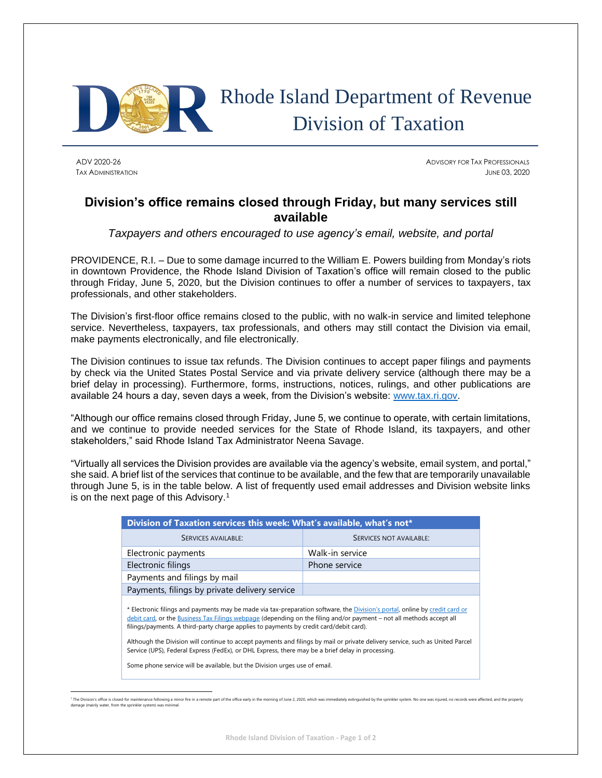

## Rhode Island Department of Revenue Division of Taxation

ADV 2020-26 ADVISORY FOR TAX PROFESSIONALS TAX ADMINISTRATION JUNE 03, 2020

## **Division's office remains closed through Friday, but many services still available**

*Taxpayers and others encouraged to use agency's email, website, and portal*

PROVIDENCE, R.I. – Due to some damage incurred to the William E. Powers building from Monday's riots in downtown Providence, the Rhode Island Division of Taxation's office will remain closed to the public through Friday, June 5, 2020, but the Division continues to offer a number of services to taxpayers, tax professionals, and other stakeholders.

The Division's first-floor office remains closed to the public, with no walk-in service and limited telephone service. Nevertheless, taxpayers, tax professionals, and others may still contact the Division via email, make payments electronically, and file electronically.

The Division continues to issue tax refunds. The Division continues to accept paper filings and payments by check via the United States Postal Service and via private delivery service (although there may be a brief delay in processing). Furthermore, forms, instructions, notices, rulings, and other publications are available 24 hours a day, seven days a week, from the Division's website: [www.tax.ri.gov.](http://www.tax.ri.gov/)

"Although our office remains closed through Friday, June 5, we continue to operate, with certain limitations, and we continue to provide needed services for the State of Rhode Island, its taxpayers, and other stakeholders," said Rhode Island Tax Administrator Neena Savage.

"Virtually all services the Division provides are available via the agency's website, email system, and portal," she said. A brief list of the services that continue to be available, and the few that are temporarily unavailable through June 5, is in the table below. A list of frequently used email addresses and Division website links is on the next page of this Advisory.<sup>1</sup>

| Division of Taxation services this week: What's available, what's not*                                                                                                                                                                                                                                                                                                                                                                                                                                                                                                              |                         |
|-------------------------------------------------------------------------------------------------------------------------------------------------------------------------------------------------------------------------------------------------------------------------------------------------------------------------------------------------------------------------------------------------------------------------------------------------------------------------------------------------------------------------------------------------------------------------------------|-------------------------|
| <b>SERVICES AVAILABLE:</b>                                                                                                                                                                                                                                                                                                                                                                                                                                                                                                                                                          | SERVICES NOT AVAILABLE: |
| Electronic payments                                                                                                                                                                                                                                                                                                                                                                                                                                                                                                                                                                 | Walk-in service         |
| Electronic filings                                                                                                                                                                                                                                                                                                                                                                                                                                                                                                                                                                  | Phone service           |
| Payments and filings by mail                                                                                                                                                                                                                                                                                                                                                                                                                                                                                                                                                        |                         |
| Payments, filings by private delivery service                                                                                                                                                                                                                                                                                                                                                                                                                                                                                                                                       |                         |
| * Electronic filings and payments may be made via tax-preparation software, the Division's portal, online by credit card or<br>debit card, or the Business Tax Filings webpage (depending on the filing and/or payment – not all methods accept all<br>filings/payments. A third-party charge applies to payments by credit card/debit card).<br>Although the Division will continue to accept payments and filings by mail or private delivery service, such as United Parcel<br>Service (UPS), Federal Express (FedEx), or DHL Express, there may be a brief delay in processing. |                         |
| Some phone service will be available, but the Division urges use of email.                                                                                                                                                                                                                                                                                                                                                                                                                                                                                                          |                         |

<sup>&</sup>lt;sup>1</sup> The Division's office is closed for maintenance following a minor fire in a remote part of the office early in the morning of June 2, 2020, which was immediately extinguished by the sprinkler system. No one was injured